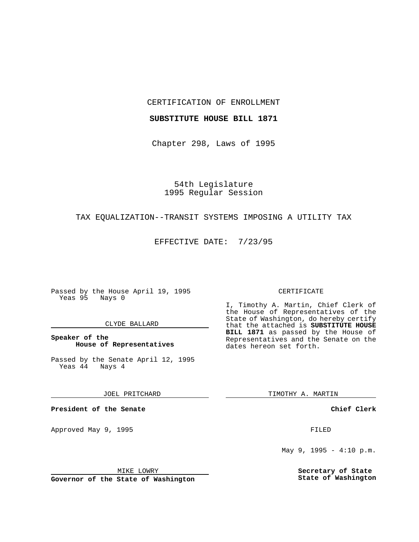CERTIFICATION OF ENROLLMENT

## **SUBSTITUTE HOUSE BILL 1871**

Chapter 298, Laws of 1995

54th Legislature 1995 Regular Session

## TAX EQUALIZATION--TRANSIT SYSTEMS IMPOSING A UTILITY TAX

EFFECTIVE DATE: 7/23/95

Passed by the House April 19, 1995 Yeas 95 Nays 0

## CLYDE BALLARD

**Speaker of the House of Representatives**

Passed by the Senate April 12, 1995<br>Yeas 44 Nays 4  $Yeas$  44

JOEL PRITCHARD

**President of the Senate**

Approved May 9, 1995 **FILED** 

MIKE LOWRY

**Governor of the State of Washington**

#### CERTIFICATE

I, Timothy A. Martin, Chief Clerk of the House of Representatives of the State of Washington, do hereby certify that the attached is **SUBSTITUTE HOUSE BILL 1871** as passed by the House of Representatives and the Senate on the dates hereon set forth.

TIMOTHY A. MARTIN

**Chief Clerk**

May 9, 1995 - 4:10 p.m.

**Secretary of State State of Washington**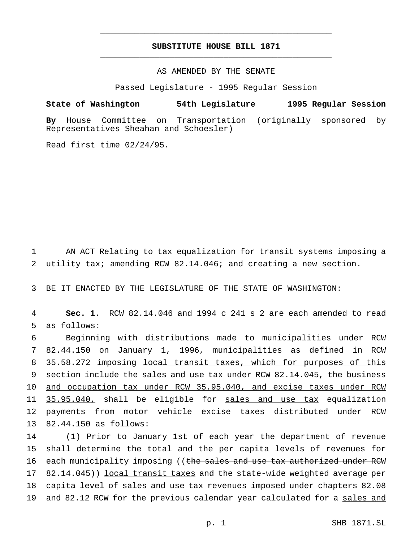# **SUBSTITUTE HOUSE BILL 1871** \_\_\_\_\_\_\_\_\_\_\_\_\_\_\_\_\_\_\_\_\_\_\_\_\_\_\_\_\_\_\_\_\_\_\_\_\_\_\_\_\_\_\_\_\_\_\_

\_\_\_\_\_\_\_\_\_\_\_\_\_\_\_\_\_\_\_\_\_\_\_\_\_\_\_\_\_\_\_\_\_\_\_\_\_\_\_\_\_\_\_\_\_\_\_

# AS AMENDED BY THE SENATE

Passed Legislature - 1995 Regular Session

### **State of Washington 54th Legislature 1995 Regular Session**

**By** House Committee on Transportation (originally sponsored by Representatives Sheahan and Schoesler)

Read first time 02/24/95.

1 AN ACT Relating to tax equalization for transit systems imposing a 2 utility tax; amending RCW 82.14.046; and creating a new section.

3 BE IT ENACTED BY THE LEGISLATURE OF THE STATE OF WASHINGTON:

4 **Sec. 1.** RCW 82.14.046 and 1994 c 241 s 2 are each amended to read 5 as follows:

 Beginning with distributions made to municipalities under RCW 82.44.150 on January 1, 1996, municipalities as defined in RCW 35.58.272 imposing local transit taxes, which for purposes of this 9 section include the sales and use tax under RCW 82.14.045, the business and occupation tax under RCW 35.95.040, and excise taxes under RCW 11 35.95.040, shall be eligible for sales and use tax equalization payments from motor vehicle excise taxes distributed under RCW 82.44.150 as follows:

14 (1) Prior to January 1st of each year the department of revenue 15 shall determine the total and the per capita levels of revenues for 16 each municipality imposing ((the sales and use tax authorized under RCW 17 82.14.045)) local transit taxes and the state-wide weighted average per 18 capita level of sales and use tax revenues imposed under chapters 82.08 19 and 82.12 RCW for the previous calendar year calculated for a sales and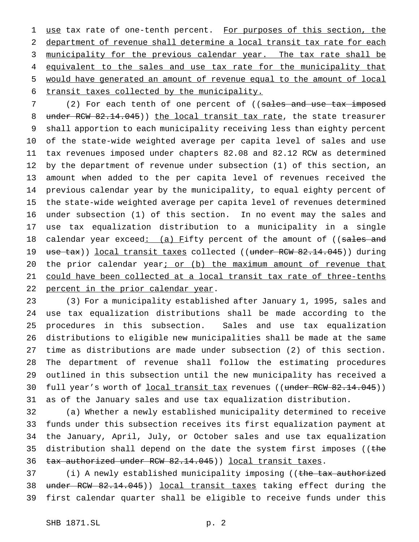1 use tax rate of one-tenth percent. For purposes of this section, the department of revenue shall determine a local transit tax rate for each 3 municipality for the previous calendar year. The tax rate shall be 4 equivalent to the sales and use tax rate for the municipality that would have generated an amount of revenue equal to the amount of local transit taxes collected by the municipality.

7 (2) For each tenth of one percent of ((sales and use tax imposed 8 under RCW 82.14.045)) the local transit tax rate, the state treasurer shall apportion to each municipality receiving less than eighty percent of the state-wide weighted average per capita level of sales and use tax revenues imposed under chapters 82.08 and 82.12 RCW as determined by the department of revenue under subsection (1) of this section, an amount when added to the per capita level of revenues received the previous calendar year by the municipality, to equal eighty percent of the state-wide weighted average per capita level of revenues determined under subsection (1) of this section. In no event may the sales and use tax equalization distribution to a municipality in a single 18 calendar year exceed: (a) Fifty percent of the amount of ((sales and 19 use tax)) local transit taxes collected ((under RCW 82.14.045)) during 20 the prior calendar year; or (b) the maximum amount of revenue that could have been collected at a local transit tax rate of three-tenths 22 percent in the prior calendar year.

 (3) For a municipality established after January 1, 1995, sales and use tax equalization distributions shall be made according to the procedures in this subsection. Sales and use tax equalization distributions to eligible new municipalities shall be made at the same time as distributions are made under subsection (2) of this section. The department of revenue shall follow the estimating procedures outlined in this subsection until the new municipality has received a 30 full year's worth of local transit tax revenues ((under RCW 82.14.045)) as of the January sales and use tax equalization distribution.

 (a) Whether a newly established municipality determined to receive funds under this subsection receives its first equalization payment at the January, April, July, or October sales and use tax equalization 35 distribution shall depend on the date the system first imposes (( $t$ he 36 tax authorized under RCW 82.14.045)) local transit taxes.

37 (i) A newly established municipality imposing ((the tax authorized under RCW 82.14.045)) local transit taxes taking effect during the first calendar quarter shall be eligible to receive funds under this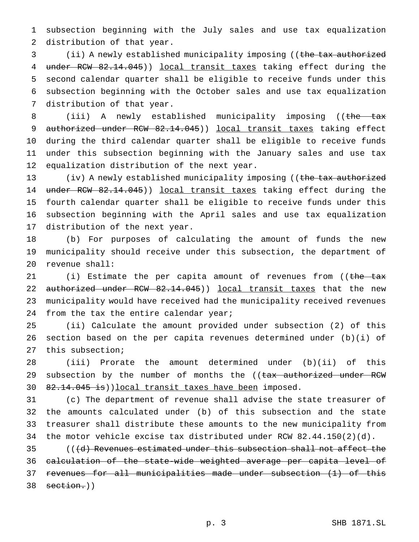subsection beginning with the July sales and use tax equalization distribution of that year.

3 (ii) A newly established municipality imposing ((the tax authorized 4 under RCW 82.14.045)) local transit taxes taking effect during the second calendar quarter shall be eligible to receive funds under this subsection beginning with the October sales and use tax equalization distribution of that year.

8 (iii) A newly established municipality imposing ((the tax 9 authorized under RCW 82.14.045)) local transit taxes taking effect during the third calendar quarter shall be eligible to receive funds under this subsection beginning with the January sales and use tax equalization distribution of the next year.

13 (iv) A newly established municipality imposing ((the tax authorized 14 under RCW 82.14.045)) local transit taxes taking effect during the fourth calendar quarter shall be eligible to receive funds under this subsection beginning with the April sales and use tax equalization distribution of the next year.

 (b) For purposes of calculating the amount of funds the new municipality should receive under this subsection, the department of revenue shall:

21 (i) Estimate the per capita amount of revenues from ((the tax 22 authorized under RCW 82.14.045)) local transit taxes that the new municipality would have received had the municipality received revenues 24 from the tax the entire calendar year;

 (ii) Calculate the amount provided under subsection (2) of this section based on the per capita revenues determined under (b)(i) of this subsection;

 (iii) Prorate the amount determined under (b)(ii) of this 29 subsection by the number of months the ((tax authorized under RCW 30 82.14.045 is)) local transit taxes have been imposed.

 (c) The department of revenue shall advise the state treasurer of the amounts calculated under (b) of this subsection and the state treasurer shall distribute these amounts to the new municipality from the motor vehicle excise tax distributed under RCW 82.44.150(2)(d).

 (((d) Revenues estimated under this subsection shall not affect the calculation of the state-wide weighted average per capita level of revenues for all municipalities made under subsection (1) of this section.))